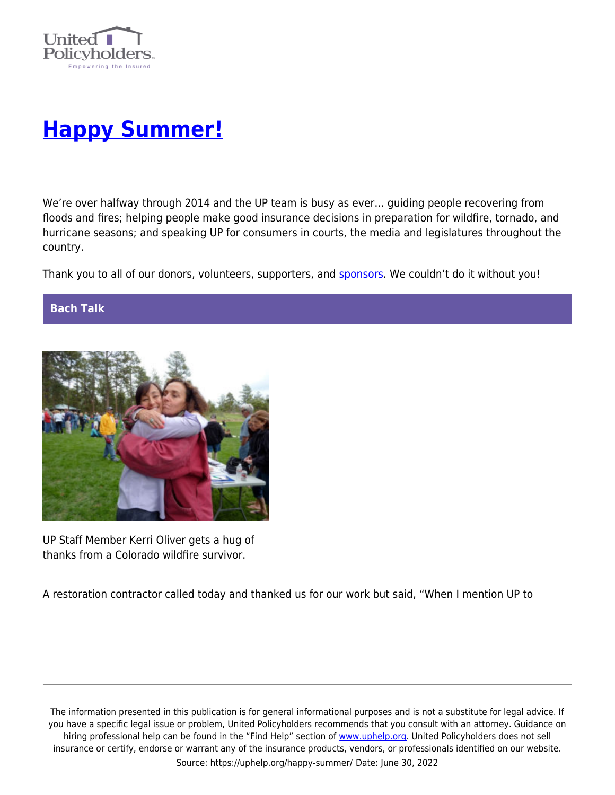

# **[Happy Summer!](https://uphelp.org/happy-summer/)**

We're over halfway through 2014 and the UP team is busy as ever… guiding people recovering from floods and fires; helping people make good insurance decisions in preparation for wildfire, tornado, and hurricane seasons; and speaking UP for consumers in courts, the media and legislatures throughout the country.

Thank you to all of our donors, volunteers, supporters, and [sponsors.](https://uphelp.org/about/supporters/) We couldn't do it without you!

## **Bach Talk**



UP Staff Member Kerri Oliver gets a hug of thanks from a Colorado wildfire survivor.

A restoration contractor called today and thanked us for our work but said, "When I mention UP to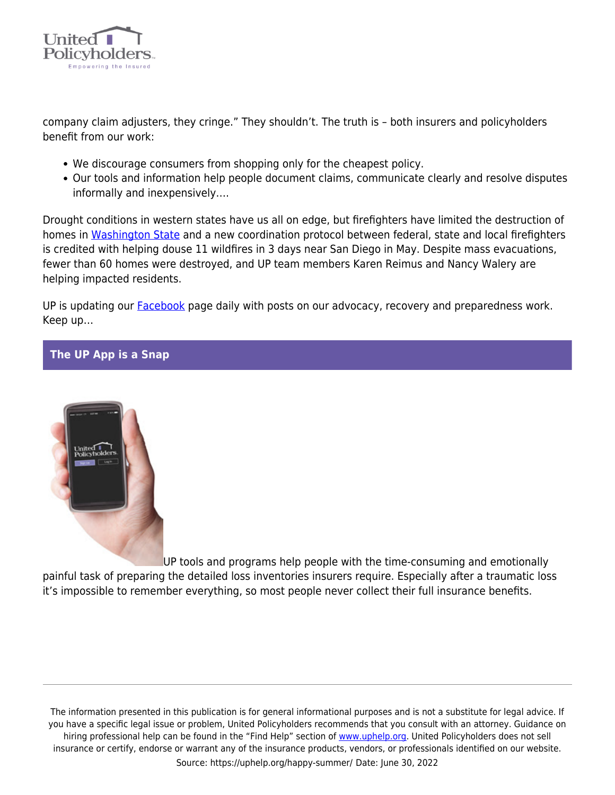

company claim adjusters, they cringe." They shouldn't. The truth is – both insurers and policyholders benefit from our work:

- We discourage consumers from shopping only for the cheapest policy.
- Our tools and information help people document claims, communicate clearly and resolve disputes informally and inexpensively….

Drought conditions in western states have us all on edge, but firefighters have limited the destruction of homes in [Washington State](https://klewtv.com/news/local/the-carlton-complex-fire-is-the-largest-in-wa-state-history) and a new coordination protocol between federal, state and local firefighters is credited with helping douse 11 wildfires in 3 days near San Diego in May. Despite mass evacuations, fewer than 60 homes were destroyed, and UP team members Karen Reimus and Nancy Walery are helping impacted residents.

UP is updating our **[Facebook](https://www.facebook.com/UPHELP)** page daily with posts on our advocacy, recovery and preparedness work. Keep up…

## **The UP App is a Snap**



UP tools and programs help people with the time-consuming and emotionally painful task of preparing the detailed loss inventories insurers require. Especially after a traumatic loss it's impossible to remember everything, so most people never collect their full insurance benefits.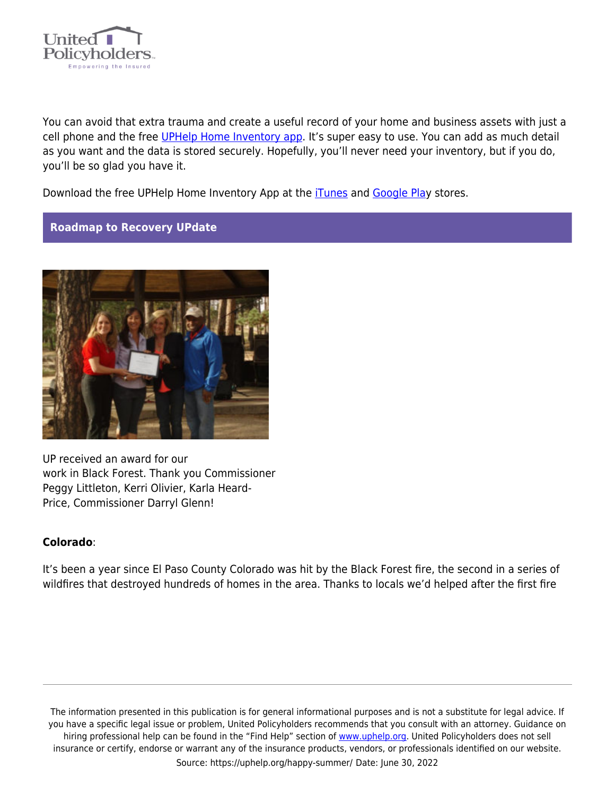

You can avoid that extra trauma and create a useful record of your home and business assets with just a cell phone and the free [UPHelp Home Inventory app](https://uphelp.org/preparedness/the-uphelp-home-inventory-app/). It's super easy to use. You can add as much detail as you want and the data is stored securely. Hopefully, you'll never need your inventory, but if you do, you'll be so glad you have it.

Download the free UPHelp Home Inventory App at the *[iTunes](https://uphelp.org/preparedness/the-uphelp-home-inventory-app/)* and [Google Pla](https://play.google.com/store/apps/details?id=com.encircle.upinventory)y stores.

#### **Roadmap to Recovery UPdate**



UP received an award for our work in Black Forest. Thank you Commissioner Peggy Littleton, Kerri Olivier, Karla Heard-Price, Commissioner Darryl Glenn!

#### **Colorado**:

It's been a year since El Paso County Colorado was hit by the Black Forest fire, the second in a series of wildfires that destroyed hundreds of homes in the area. Thanks to locals we'd helped after the first fire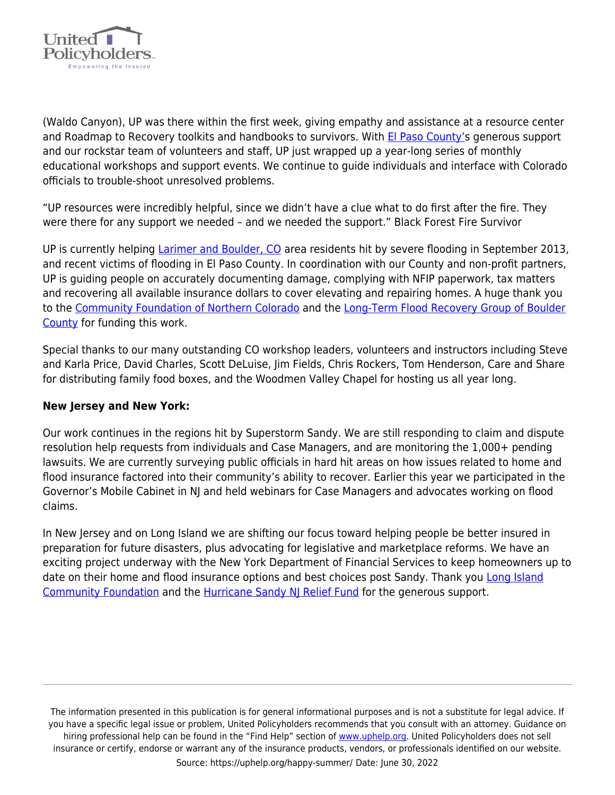

(Waldo Canyon), UP was there within the first week, giving empathy and assistance at a resource center and Roadmap to Recovery toolkits and handbooks to survivors. With [El Paso County'](https://www.elpasoco.com/Pages/default.aspx)s generous support and our rockstar team of volunteers and staff, UP just wrapped up a year-long series of monthly educational workshops and support events. We continue to guide individuals and interface with Colorado officials to trouble-shoot unresolved problems.

"UP resources were incredibly helpful, since we didn't have a clue what to do first after the fire. They were there for any support we needed – and we needed the support." Black Forest Fire Survivor

UP is currently helping [Larimer and Boulder, CO](https://uphelp.org/disaster-recovery-help/colorado-flooding/) area residents hit by severe flooding in September 2013, and recent victims of flooding in El Paso County. In coordination with our County and non-profit partners, UP is guiding people on accurately documenting damage, complying with NFIP paperwork, tax matters and recovering all available insurance dollars to cover elevating and repairing homes. A huge thank you to the [Community Foundation of Northern Colorado](https://nocofoundation.org/) and the [Long-Term Flood Recovery Group of Boulder](http://bocofloodrecovery.org/) [County](http://bocofloodrecovery.org/) for funding this work.

Special thanks to our many outstanding CO workshop leaders, volunteers and instructors including Steve and Karla Price, David Charles, Scott DeLuise, Jim Fields, Chris Rockers, Tom Henderson, Care and Share for distributing family food boxes, and the Woodmen Valley Chapel for hosting us all year long.

## **New Jersey and New York:**

Our work continues in the regions hit by Superstorm Sandy. We are still responding to claim and dispute resolution help requests from individuals and Case Managers, and are monitoring the 1,000+ pending lawsuits. We are currently surveying public officials in hard hit areas on how issues related to home and flood insurance factored into their community's ability to recover. Earlier this year we participated in the Governor's Mobile Cabinet in NJ and held webinars for Case Managers and advocates working on flood claims.

In New Jersey and on Long Island we are shifting our focus toward helping people be better insured in preparation for future disasters, plus advocating for legislative and marketplace reforms. We have an exciting project underway with the New York Department of Financial Services to keep homeowners up to date on their home and flood insurance options and best choices post Sandy. Thank you [Long Island](https://licf.org/) [Community Foundation](https://licf.org/) and the [Hurricane Sandy NJ Relief Fund](http://sandynjrelieffund.org/) for the generous support.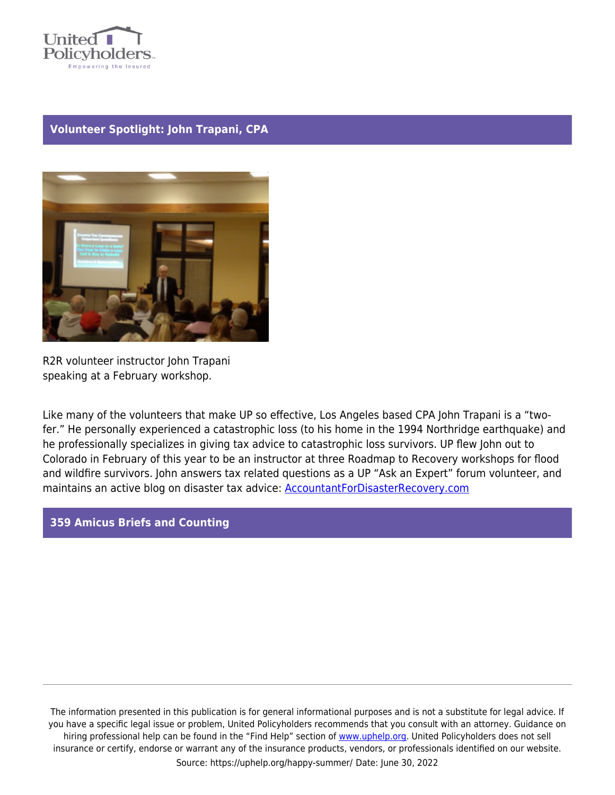

## **Volunteer Spotlight: John Trapani, CPA**



R2R volunteer instructor John Trapani speaking at a February workshop.

Like many of the volunteers that make UP so effective, Los Angeles based CPA John Trapani is a "twofer." He personally experienced a catastrophic loss (to his home in the 1994 Northridge earthquake) and he professionally specializes in giving tax advice to catastrophic loss survivors. UP flew John out to Colorado in February of this year to be an instructor at three Roadmap to Recovery workshops for flood and wildfire survivors. John answers tax related questions as a UP "Ask an Expert" forum volunteer, and maintains an active blog on disaster tax advice: **[AccountantForDisasterRecovery.com](http://AccountantForDisasterRecovery.com)** 

## **359 Amicus Briefs and Counting**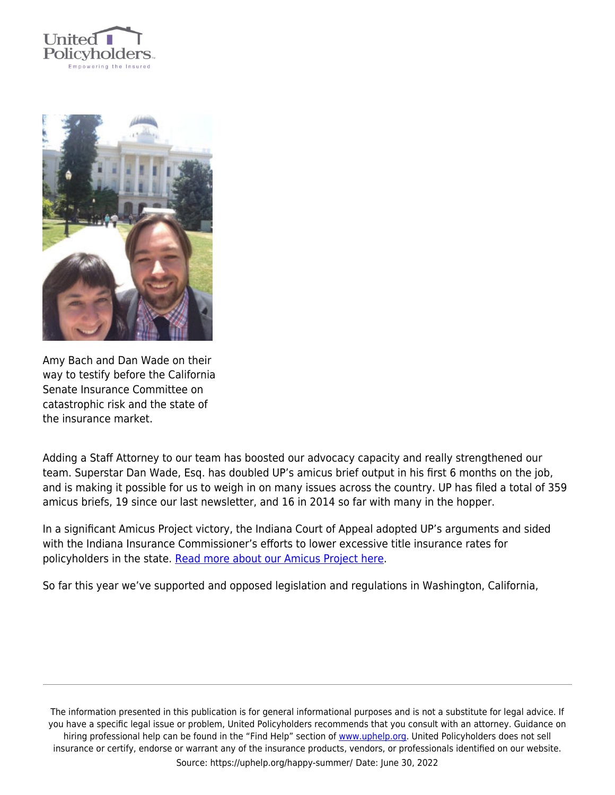



Amy Bach and Dan Wade on their way to testify before the California Senate Insurance Committee on catastrophic risk and the state of the insurance market.

Adding a Staff Attorney to our team has boosted our advocacy capacity and really strengthened our team. Superstar Dan Wade, Esq. has doubled UP's amicus brief output in his first 6 months on the job, and is making it possible for us to weigh in on many issues across the country. UP has filed a total of 359 amicus briefs, 19 since our last newsletter, and 16 in 2014 so far with many in the hopper.

In a significant Amicus Project victory, the Indiana Court of Appeal adopted UP's arguments and sided with the Indiana Insurance Commissioner's efforts to lower excessive title insurance rates for policyholders in the state. [Read more about our Amicus Project here](https://uphelp.org/advocacy/amicus-library/).

So far this year we've supported and opposed legislation and regulations in Washington, California,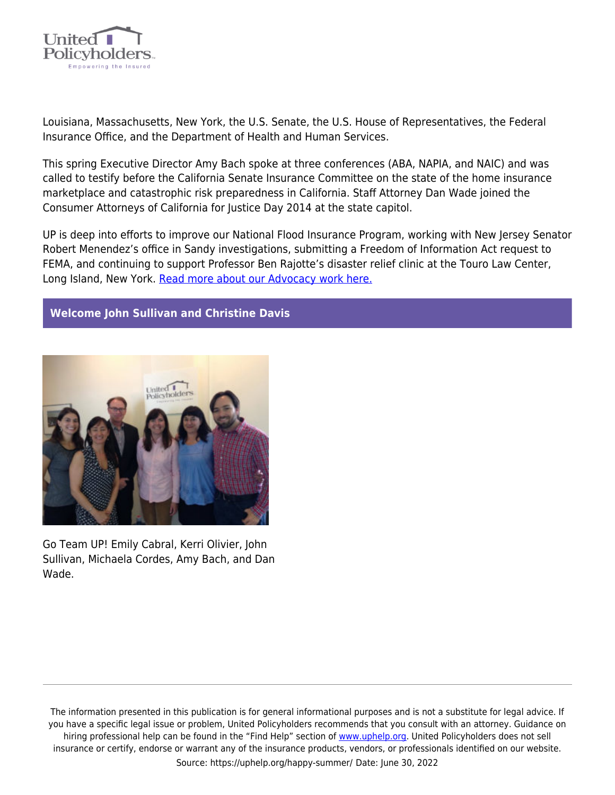

Louisiana, Massachusetts, New York, the U.S. Senate, the U.S. House of Representatives, the Federal Insurance Office, and the Department of Health and Human Services.

This spring Executive Director Amy Bach spoke at three conferences (ABA, NAPIA, and NAIC) and was called to testify before the California Senate Insurance Committee on the state of the home insurance marketplace and catastrophic risk preparedness in California. Staff Attorney Dan Wade joined the Consumer Attorneys of California for Justice Day 2014 at the state capitol.

UP is deep into efforts to improve our National Flood Insurance Program, working with New Jersey Senator Robert Menendez's office in Sandy investigations, submitting a Freedom of Information Act request to FEMA, and continuing to support Professor Ben Rajotte's disaster relief clinic at the Touro Law Center, Long Island, New York. [Read more about our Advocacy work here.](https://uphelp.org/advocacy/)

#### **Welcome John Sullivan and Christine Davis**



Go Team UP! Emily Cabral, Kerri Olivier, John Sullivan, Michaela Cordes, Amy Bach, and Dan Wade.